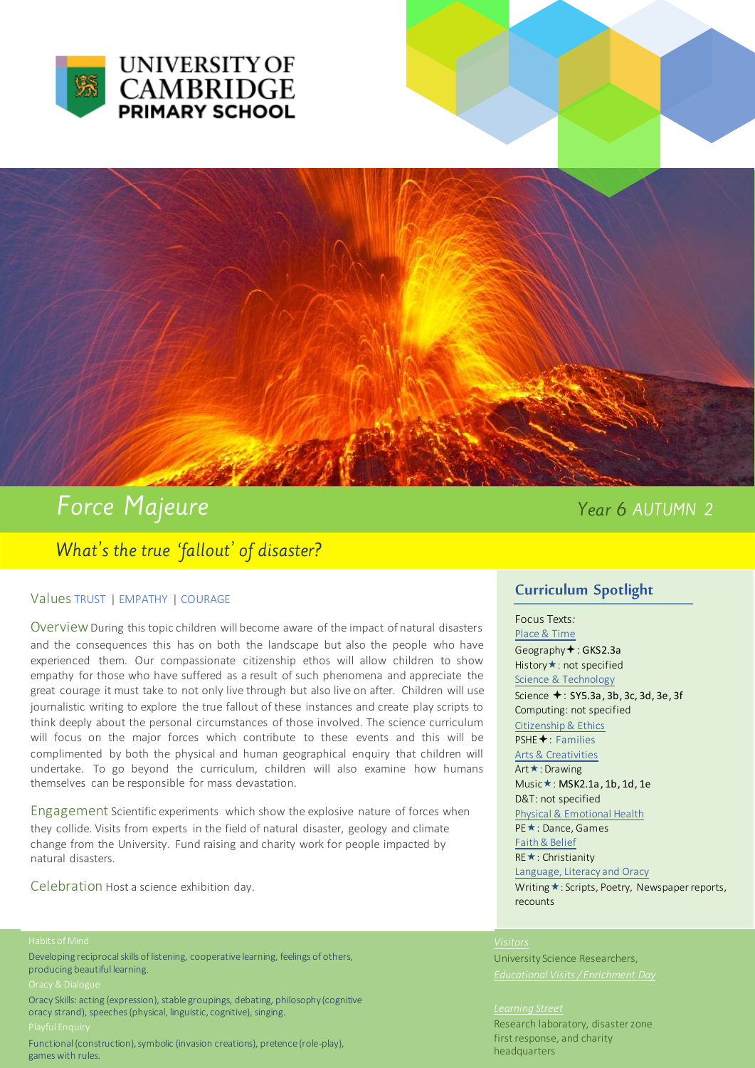



# Force Majeure

## Year 6 AUTUMN 2

## What's the true 'fallout' of disaster?

### Values TRUST | EMPATHY | COURAGE

Overview During this topic children will become aware of the impact of natural disasters and the consequences this has on both the landscape but also the people who have experienced them. Our compassionate citizenship ethos will allow children to show empathy for those who have suffered as a result of such phenomena and appreciate the great courage it must take to not only live through but also live on after. Children will use journalistic writing to explore the true fallout of these instances and create play scripts to think deeply about the personal circumstances of those involved. The science curriculum will focus on the major forces which contribute to these events and this will be complimented by both the physical and human geographical enquiry that children will undertake. To go beyond the curriculum, children will also examine how humans themselves can be responsible for mass devastation.

Engagement Scientific experiments which show the explosive nature of forces when they collide. Visits from experts in the field of natural disaster, geology and climate change from the University. Fund raising and charity work for people impacted by natural disasters.

Celebration Host a science exhibition day.

Developing reciprocal skills of listening, cooperative learning, feelings of others, producing beautiful learning.

Oracy Skills: acting (expression), stable groupings, debating, philosophy (cognitive oracy strand), speeches (physical, linguistic, cognitive), singing.

Functional (construction), symbolic (invasion creations), pretence (role-play), games with rules.

## **Curriculum Spotlight**

Focus Texts*:*  Place & Time Geography<sup>+</sup>: GKS2.3a History \*: not specified Science & Technology Science +: SY5.3a, 3b, 3c, 3d, 3e, 3f Computing: not specified Citizenship & Ethics PSHE<sup>+</sup>: Families Arts & Creativities Art **★**: Drawing Music\*: MSK2.1a, 1b, 1d, 1e D&T: not specified Physical & Emotional Health PE **★**: Dance, Games Faith & Belief RE **★**: Christianity Language, Literacy and Oracy Writing  $\star$ : Scripts, Poetry, Newspaper reports, recounts

University Science Researchers,

### *Learning Street*

Research laboratory, disaster zone first response, and charity headquarters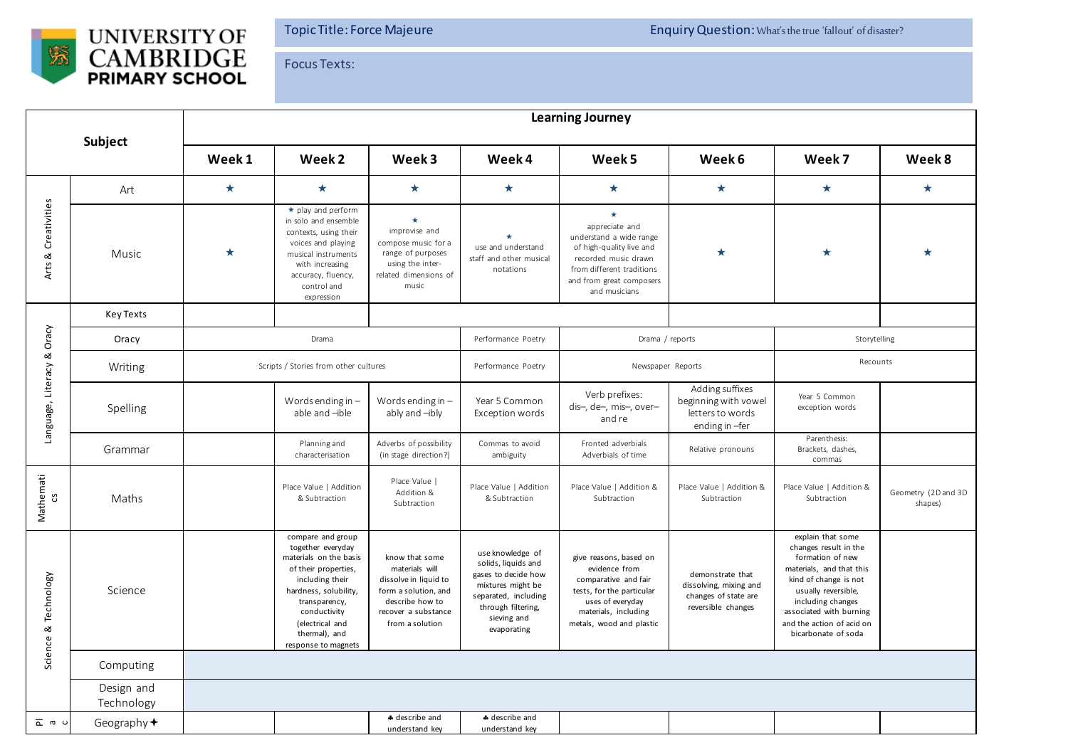

Focus Texts:

| Subject                          |                          | <b>Learning Journey</b>               |                                                                                                                                                                                                                                  |                                                                                                                                                |                                                                                                                                                                 |                                                                                                                                                                                    |                                                                                          |                                                                                                                                                                                                                                                |                                |  |  |
|----------------------------------|--------------------------|---------------------------------------|----------------------------------------------------------------------------------------------------------------------------------------------------------------------------------------------------------------------------------|------------------------------------------------------------------------------------------------------------------------------------------------|-----------------------------------------------------------------------------------------------------------------------------------------------------------------|------------------------------------------------------------------------------------------------------------------------------------------------------------------------------------|------------------------------------------------------------------------------------------|------------------------------------------------------------------------------------------------------------------------------------------------------------------------------------------------------------------------------------------------|--------------------------------|--|--|
|                                  |                          | Week 1                                | Week 2                                                                                                                                                                                                                           | Week 3                                                                                                                                         | Week 4                                                                                                                                                          | Week 5                                                                                                                                                                             | Week 6                                                                                   | Week 7                                                                                                                                                                                                                                         | Week 8                         |  |  |
| Creativities<br>$\infty$<br>Arts | Art                      | $\star$                               | $\star$                                                                                                                                                                                                                          | $\star$                                                                                                                                        | $\star$                                                                                                                                                         | $\star$                                                                                                                                                                            | $\star$                                                                                  | $\star$                                                                                                                                                                                                                                        | $\star$                        |  |  |
|                                  | Music                    | $\star$                               | $\star$ play and perform<br>in solo and ensemble<br>contexts, using their<br>voices and playing<br>musical instruments<br>with increasing<br>accuracy, fluency,<br>control and<br>expression                                     | $\star$<br>improvise and<br>compose music for a<br>range of purposes<br>using the inter-<br>related dimensions of<br>music                     | use and understand<br>staff and other musical<br>notations                                                                                                      | $\star$<br>appreciate and<br>understand a wide range<br>of high-quality live and<br>recorded music drawn<br>from different traditions<br>and from great composers<br>and musicians | $\star$                                                                                  | $\star$                                                                                                                                                                                                                                        | $\star$                        |  |  |
| Language, Literacy & Oracy       | <b>Key Texts</b>         |                                       |                                                                                                                                                                                                                                  |                                                                                                                                                |                                                                                                                                                                 |                                                                                                                                                                                    |                                                                                          |                                                                                                                                                                                                                                                |                                |  |  |
|                                  | Oracy                    | Drama                                 |                                                                                                                                                                                                                                  |                                                                                                                                                | Performance Poetry                                                                                                                                              | Drama / reports                                                                                                                                                                    |                                                                                          | Storytelling                                                                                                                                                                                                                                   |                                |  |  |
|                                  | Writing                  | Scripts / Stories from other cultures |                                                                                                                                                                                                                                  |                                                                                                                                                | Performance Poetry                                                                                                                                              | Newspaper Reports                                                                                                                                                                  |                                                                                          | Recounts                                                                                                                                                                                                                                       |                                |  |  |
|                                  | Spelling                 |                                       | Words ending in $-$<br>able and -ible                                                                                                                                                                                            | Words ending in $-$<br>ably and -ibly                                                                                                          | Year 5 Common<br>Exception words                                                                                                                                | Verb prefixes:<br>dis-, de-, mis-, over-<br>and re                                                                                                                                 | Adding suffixes<br>beginning with vowel<br>letters to words<br>ending in -fer            | Year 5 Common<br>exception words                                                                                                                                                                                                               |                                |  |  |
|                                  | Grammar                  |                                       | Planning and<br>characterisation                                                                                                                                                                                                 | Adverbs of possibility<br>(in stage direction?)                                                                                                | Commas to avoid<br>ambiguity                                                                                                                                    | Fronted adverbials<br>Adverbials of time                                                                                                                                           | Relative pronouns                                                                        | Parenthesis:<br>Brackets, dashes,<br>commas                                                                                                                                                                                                    |                                |  |  |
| Mathemati<br>cs                  | Maths                    |                                       | Place Value   Addition<br>& Subtraction                                                                                                                                                                                          | Place Value  <br>Addition &<br>Subtraction                                                                                                     | Place Value   Addition<br>& Subtraction                                                                                                                         | Place Value   Addition &<br>Subtraction                                                                                                                                            | Place Value   Addition &<br>Subtraction                                                  | Place Value   Addition &<br>Subtraction                                                                                                                                                                                                        | Geometry (2D and 3D<br>shapes) |  |  |
| Science & Technology             | Science                  |                                       | compare and group<br>together everyday<br>materials on the basis<br>of their properties,<br>including their<br>hardness, solubility,<br>transparency,<br>conductivity<br>(electrical and<br>thermal), and<br>response to magnets | know that some<br>materials will<br>dissolve in liquid to<br>form a solution, and<br>describe how to<br>recover a substance<br>from a solution | use knowledge of<br>solids, liquids and<br>gases to decide how<br>mixtures might be<br>separated, including<br>through filtering,<br>sieving and<br>evaporating | give reasons, based on<br>evidence from<br>comparative and fair<br>tests, for the particular<br>uses of everyday<br>materials, including<br>metals, wood and plastic               | demonstrate that<br>dissolving, mixing and<br>changes of state are<br>reversible changes | explain that some<br>changes result in the<br>formation of new<br>materials, and that this<br>kind of change is not<br>usually reversible,<br>including changes<br>associated with burning<br>and the action of acid on<br>bicarbonate of soda |                                |  |  |
|                                  | Computing                |                                       |                                                                                                                                                                                                                                  |                                                                                                                                                |                                                                                                                                                                 |                                                                                                                                                                                    |                                                                                          |                                                                                                                                                                                                                                                |                                |  |  |
|                                  | Design and<br>Technology |                                       |                                                                                                                                                                                                                                  |                                                                                                                                                |                                                                                                                                                                 |                                                                                                                                                                                    |                                                                                          |                                                                                                                                                                                                                                                |                                |  |  |
| _ ര u                            | Geography $\bigstar$     |                                       |                                                                                                                                                                                                                                  | + describe and<br>understand key                                                                                                               | + describe and<br>understand key                                                                                                                                |                                                                                                                                                                                    |                                                                                          |                                                                                                                                                                                                                                                |                                |  |  |